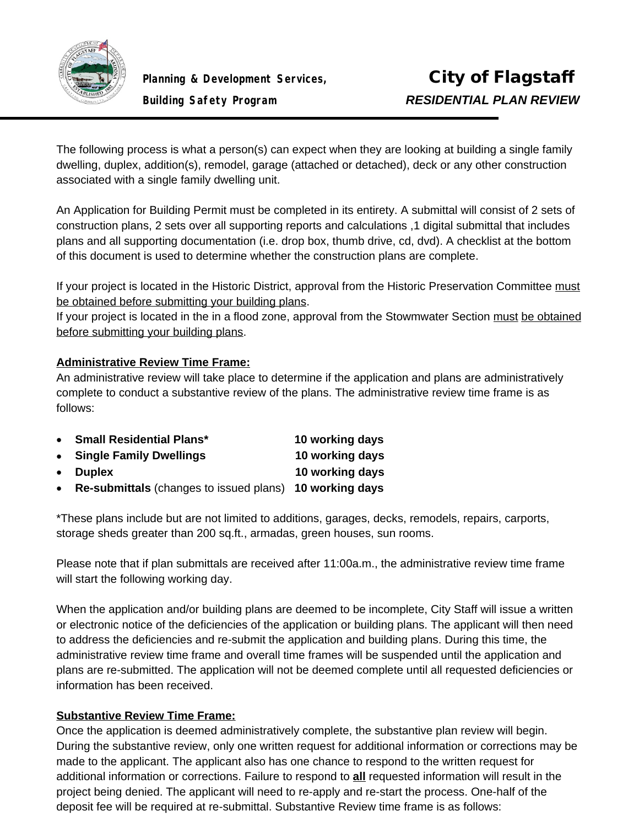

The following process is what a person(s) can expect when they are looking at building a single family dwelling, duplex, addition(s), remodel, garage (attached or detached), deck or any other construction associated with a single family dwelling unit.

An Application for Building Permit must be completed in its entirety. A submittal will consist of 2 sets of construction plans, 2 sets over all supporting reports and calculations ,1 digital submittal that includes plans and all supporting documentation (i.e. drop box, thumb drive, cd, dvd). A checklist at the bottom of this document is used to determine whether the construction plans are complete.

If your project is located in the Historic District, approval from the Historic Preservation Committee must be obtained before submitting your building plans.

If your project is located in the in a flood zone, approval from the Stowmwater Section must be obtained before submitting your building plans.

### **Administrative Review Time Frame:**

An administrative review will take place to determine if the application and plans are administratively complete to conduct a substantive review of the plans. The administrative review time frame is as follows:

| • Small Residential Plans*                                     | 10 working days |
|----------------------------------------------------------------|-----------------|
| • Single Family Dwellings                                      | 10 working days |
| • Duplex                                                       | 10 working days |
| $\sim$ Bo-submittale (changes to issued plans) 10 working days |                 |

**Re-submittals** (changes to issued plans) **10 working days**

\*These plans include but are not limited to additions, garages, decks, remodels, repairs, carports, storage sheds greater than 200 sq.ft., armadas, green houses, sun rooms.

Please note that if plan submittals are received after 11:00a.m., the administrative review time frame will start the following working day.

When the application and/or building plans are deemed to be incomplete, City Staff will issue a written or electronic notice of the deficiencies of the application or building plans. The applicant will then need to address the deficiencies and re-submit the application and building plans. During this time, the administrative review time frame and overall time frames will be suspended until the application and plans are re-submitted. The application will not be deemed complete until all requested deficiencies or information has been received.

### **Substantive Review Time Frame:**

Once the application is deemed administratively complete, the substantive plan review will begin. During the substantive review, only one written request for additional information or corrections may be made to the applicant. The applicant also has one chance to respond to the written request for additional information or corrections. Failure to respond to **all** requested information will result in the project being denied. The applicant will need to re-apply and re-start the process. One-half of the deposit fee will be required at re-submittal. Substantive Review time frame is as follows: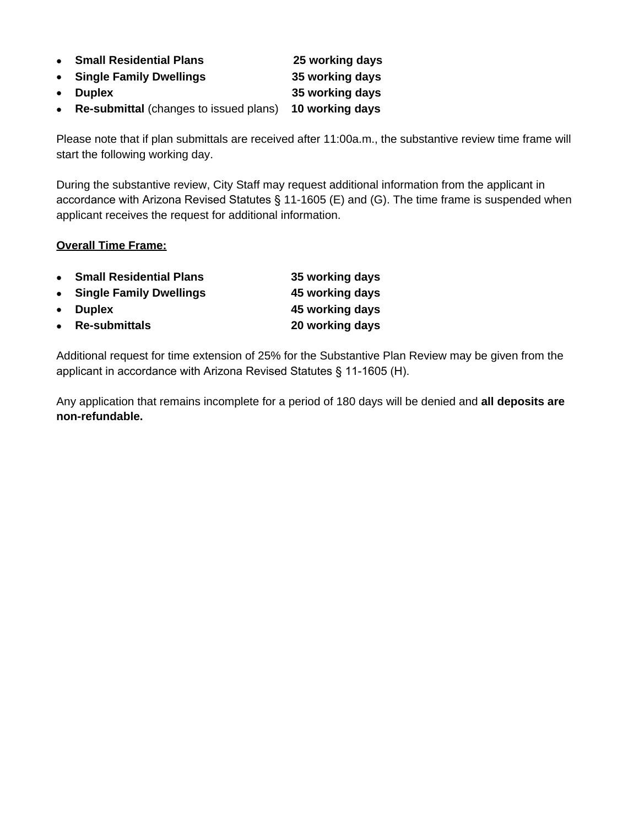| • Small Residential Plans                | 25 working days |
|------------------------------------------|-----------------|
| • Single Family Dwellings                | 35 working days |
| • Duplex                                 | 35 working days |
| • Re-submittal (changes to issued plans) | 10 working days |

Please note that if plan submittals are received after 11:00a.m., the substantive review time frame will start the following working day.

During the substantive review, City Staff may request additional information from the applicant in accordance with Arizona Revised Statutes § 11-1605 (E) and (G). The time frame is suspended when applicant receives the request for additional information.

#### **Overall Time Frame:**

| $\bullet$ | <b>Small Residential Plans</b> | 35 working days |
|-----------|--------------------------------|-----------------|
|           | • Single Family Dwellings      | 45 working days |
|           | • Duplex                       | 45 working days |
|           | • Re-submittals                | 20 working days |

Additional request for time extension of 25% for the Substantive Plan Review may be given from the applicant in accordance with Arizona Revised Statutes § 11-1605 (H).

Any application that remains incomplete for a period of 180 days will be denied and **all deposits are non-refundable.**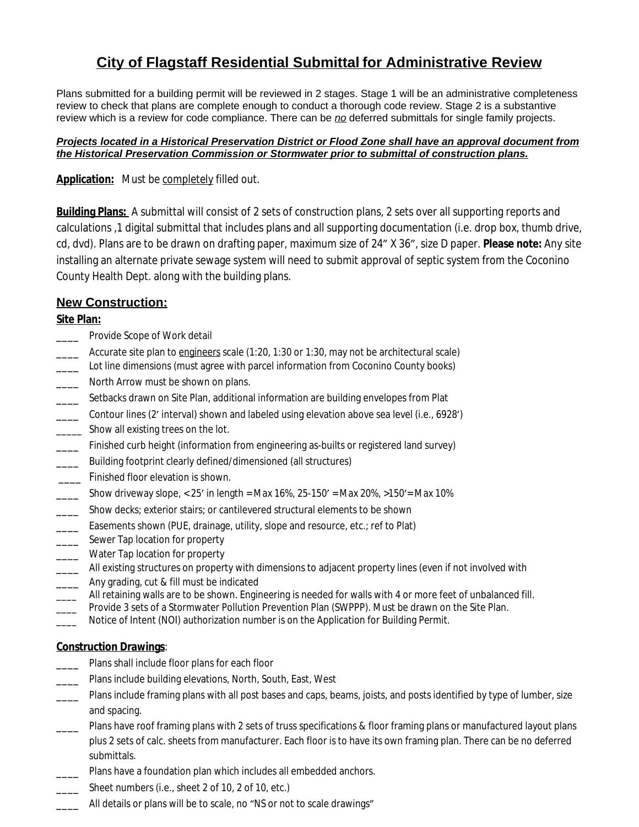# **City of Flagstaff Residential Submittal for Administrative Review**

Plans submitted for a building permit will be reviewed in 2 stages. Stage 1 will be an administrative completeness review to check that plans are complete enough to conduct a thorough code review. Stage 2 is a substantive review which is a review for code compliance. There can be *no* deferred submittals for single family projects.

#### *Projects located in a Historical Preservation District or Flood Zone shall have an approval document from the Historical Preservation Commission or Stormwater prior to submittal of construction plans.*

#### **Application:** *Must be completely filled out.*

**Building Plans:** A submittal will consist of 2 sets of construction plans, 2 sets over all supporting reports and calculations ,1 digital submittal that includes plans and all supporting documentation (i.e. drop box, thumb drive, cd, dvd). Plans are to be drawn on drafting paper, maximum size of 24" X 36", size D paper. **Please note:** Any site installing an alternate private sewage system will need to submit approval of septic system from the Coconino County Health Dept. along with the building plans.

### **New Construction:**

#### **Site Plan:**

- Provide Scope of Work detail
- Accurate site plan to engineers scale (1:20, 1:30 or 1:30, may not be architectural scale)
- \_\_\_\_ Lot line dimensions (must agree with parcel information from Coconino County books)
- \_\_\_\_ North Arrow must be shown on plans.
- **EXECT** Setbacks drawn on Site Plan, additional information are building envelopes from Plat
- \_\_\_\_ Contour lines (2' interval) shown and labeled using elevation above sea level (i.e., 6928')
- \_\_\_\_\_ Show all existing trees on the lot.
- \_\_\_\_ Finished curb height (information from engineering as-builts or registered land survey)
- \_\_\_\_ Building footprint clearly defined/dimensioned (all structures)
- **\_\_\_\_** Finished floor elevation is shown.
- $\frac{1}{2}$  Show driveway slope, < 25' in length = Max 16%, 25-150' = Max 20%, >150' = Max 10%
- \_\_\_\_ Show decks; exterior stairs; or cantilevered structural elements to be shown
- Easements shown (PUE, drainage, utility, slope and resource, etc.; ref to Plat)
- \_\_\_\_\_ Sewer Tap location for property
- \_\_\_\_ Water Tap location for property
- \_\_\_ All existing structures on property with dimensions to adjacent property lines (even if not involved with
- \_\_\_\_ Any grading, cut & fill must be indicated
- \_\_\_ All retaining walls are to be shown. Engineering is needed for walls with 4 or more feet of unbalanced fill.
- Provide 3 sets of a Stormwater Pollution Prevention Plan (SWPPP). Must be drawn on the Site Plan.
- Notice of Intent (NOI) authorization number is on the Application for Building Permit.

### **Construction Drawings**:

- \_\_\_\_ Plans shall include floor plans for each floor
- \_\_\_\_ Plans include building elevations, North, South, East, West
- \_\_\_\_ Plans include framing plans with all post bases and caps, beams, joists, and posts identified by type of lumber, size and spacing.
- Plans have roof framing plans with 2 sets of truss specifications & floor framing plans or manufactured layout plans plus 2 sets of calc. sheets from manufacturer. Each floor is to have its own framing plan. There can be no deferred submittals.
- \_\_\_\_ Plans have a foundation plan which includes all embedded anchors.
- \_\_\_\_ Sheet numbers (i.e., sheet 2 of 10, 2 of 10, etc.)
- \_\_\_\_ All details or plans will be to scale, no "NS or not to scale drawings"